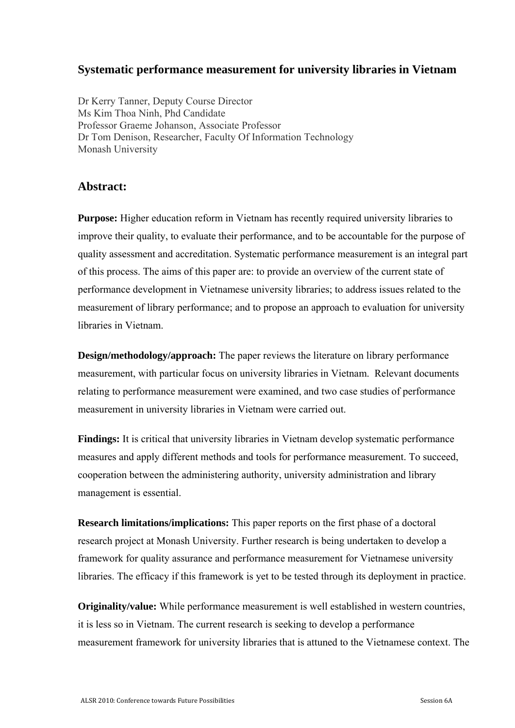## **Systematic performance measurement for university libraries in Vietnam**

Dr Kerry Tanner, Deputy Course Director Ms Kim Thoa Ninh, Phd Candidate Professor Graeme Johanson, Associate Professor Dr Tom Denison, Researcher, Faculty Of Information Technology Monash University

## **Abstract:**

**Purpose:** Higher education reform in Vietnam has recently required university libraries to improve their quality, to evaluate their performance, and to be accountable for the purpose of quality assessment and accreditation. Systematic performance measurement is an integral part of this process. The aims of this paper are: to provide an overview of the current state of performance development in Vietnamese university libraries; to address issues related to the measurement of library performance; and to propose an approach to evaluation for university libraries in Vietnam.

**Design/methodology/approach:** The paper reviews the literature on library performance measurement, with particular focus on university libraries in Vietnam. Relevant documents relating to performance measurement were examined, and two case studies of performance measurement in university libraries in Vietnam were carried out.

**Findings:** It is critical that university libraries in Vietnam develop systematic performance measures and apply different methods and tools for performance measurement. To succeed, cooperation between the administering authority, university administration and library management is essential.

**Research limitations/implications:** This paper reports on the first phase of a doctoral research project at Monash University. Further research is being undertaken to develop a framework for quality assurance and performance measurement for Vietnamese university libraries. The efficacy if this framework is yet to be tested through its deployment in practice.

**Originality/value:** While performance measurement is well established in western countries, it is less so in Vietnam. The current research is seeking to develop a performance measurement framework for university libraries that is attuned to the Vietnamese context. The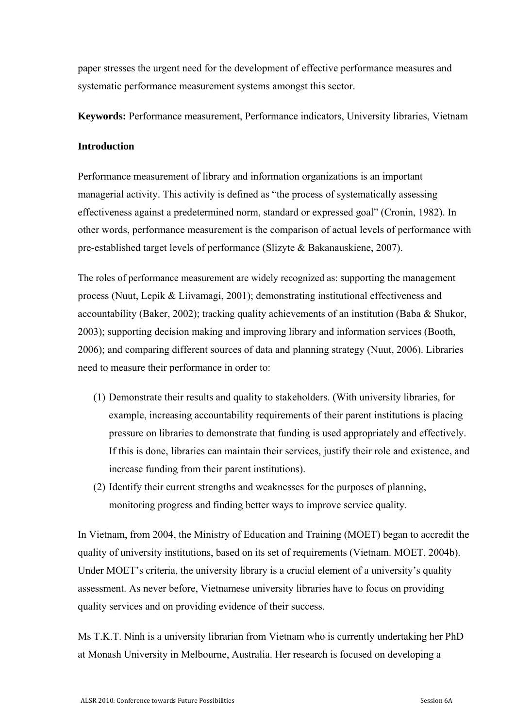paper stresses the urgent need for the development of effective performance measures and systematic performance measurement systems amongst this sector.

**Keywords:** Performance measurement, Performance indicators, University libraries, Vietnam

## **Introduction**

Performance measurement of library and information organizations is an important managerial activity. This activity is defined as "the process of systematically assessing effectiveness against a predetermined norm, standard or expressed goal" (Cronin, 1982). In other words, performance measurement is the comparison of actual levels of performance with pre-established target levels of performance (Slizyte & Bakanauskiene, 2007).

The roles of performance measurement are widely recognized as: supporting the management process (Nuut, Lepik & Liivamagi, 2001); demonstrating institutional effectiveness and accountability (Baker, 2002); tracking quality achievements of an institution (Baba & Shukor, 2003); supporting decision making and improving library and information services (Booth, 2006); and comparing different sources of data and planning strategy (Nuut, 2006). Libraries need to measure their performance in order to:

- (1) Demonstrate their results and quality to stakeholders. (With university libraries, for example, increasing accountability requirements of their parent institutions is placing pressure on libraries to demonstrate that funding is used appropriately and effectively. If this is done, libraries can maintain their services, justify their role and existence, and increase funding from their parent institutions).
- (2) Identify their current strengths and weaknesses for the purposes of planning, monitoring progress and finding better ways to improve service quality.

In Vietnam, from 2004, the Ministry of Education and Training (MOET) began to accredit the quality of university institutions, based on its set of requirements (Vietnam. MOET, 2004b). Under MOET's criteria, the university library is a crucial element of a university's quality assessment. As never before, Vietnamese university libraries have to focus on providing quality services and on providing evidence of their success.

Ms T.K.T. Ninh is a university librarian from Vietnam who is currently undertaking her PhD at Monash University in Melbourne, Australia. Her research is focused on developing a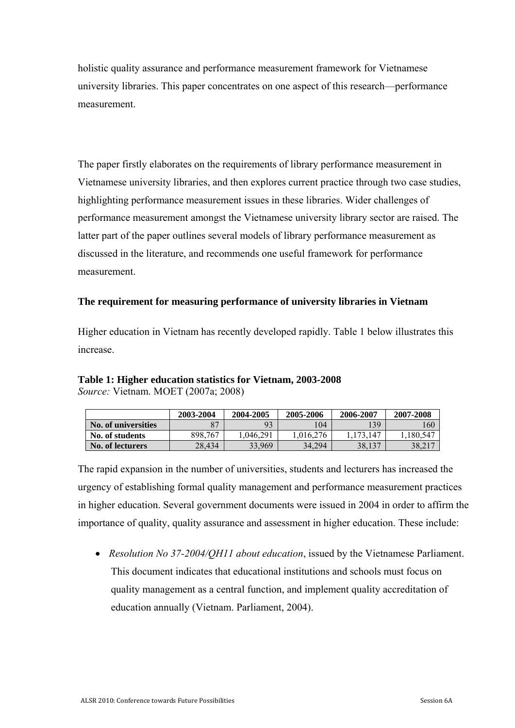holistic quality assurance and performance measurement framework for Vietnamese university libraries. This paper concentrates on one aspect of this research—performance measurement.

The paper firstly elaborates on the requirements of library performance measurement in Vietnamese university libraries, and then explores current practice through two case studies, highlighting performance measurement issues in these libraries. Wider challenges of performance measurement amongst the Vietnamese university library sector are raised. The latter part of the paper outlines several models of library performance measurement as discussed in the literature, and recommends one useful framework for performance measurement.

### **The requirement for measuring performance of university libraries in Vietnam**

Higher education in Vietnam has recently developed rapidly. Table 1 below illustrates this increase.

#### **Table 1: Higher education statistics for Vietnam, 2003-2008**  *Source:* Vietnam. MOET (2007a; 2008)

|                     | 2003-2004 | 2004-2005      | 2005-2006 | 2006-2007 | 2007-2008 |
|---------------------|-----------|----------------|-----------|-----------|-----------|
| No. of universities |           | Q <sub>3</sub> | 04        | 139       | l 60      |
| No. of students     | 898.767   | .046.291       | .016.276  | .173.147  | .180,547  |
| No. of lecturers    | 28,434    | 33.969         | 34,294    | 38,137    | 38.217    |

The rapid expansion in the number of universities, students and lecturers has increased the urgency of establishing formal quality management and performance measurement practices in higher education. Several government documents were issued in 2004 in order to affirm the importance of quality, quality assurance and assessment in higher education. These include:

 *Resolution No 37-2004/QH11 about education*, issued by the Vietnamese Parliament. This document indicates that educational institutions and schools must focus on quality management as a central function, and implement quality accreditation of education annually (Vietnam. Parliament, 2004).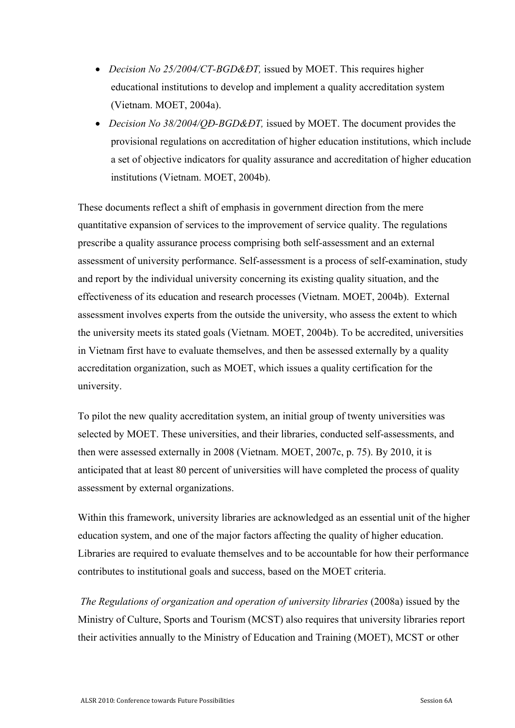- *Decision No 25/2004/CT-BGD&ĐT,* issued by MOET. This requires higher educational institutions to develop and implement a quality accreditation system (Vietnam. MOET, 2004a).
- *Decision No 38/2004/QĐ-BGD&ĐT,* issued by MOET. The document provides the provisional regulations on accreditation of higher education institutions, which include a set of objective indicators for quality assurance and accreditation of higher education institutions (Vietnam. MOET, 2004b).

These documents reflect a shift of emphasis in government direction from the mere quantitative expansion of services to the improvement of service quality. The regulations prescribe a quality assurance process comprising both self-assessment and an external assessment of university performance. Self-assessment is a process of self-examination, study and report by the individual university concerning its existing quality situation, and the effectiveness of its education and research processes (Vietnam. MOET, 2004b). External assessment involves experts from the outside the university, who assess the extent to which the university meets its stated goals (Vietnam. MOET, 2004b). To be accredited, universities in Vietnam first have to evaluate themselves, and then be assessed externally by a quality accreditation organization, such as MOET, which issues a quality certification for the university.

To pilot the new quality accreditation system, an initial group of twenty universities was selected by MOET. These universities, and their libraries, conducted self-assessments, and then were assessed externally in 2008 (Vietnam. MOET, 2007c, p. 75). By 2010, it is anticipated that at least 80 percent of universities will have completed the process of quality assessment by external organizations.

Within this framework, university libraries are acknowledged as an essential unit of the higher education system, and one of the major factors affecting the quality of higher education. Libraries are required to evaluate themselves and to be accountable for how their performance contributes to institutional goals and success, based on the MOET criteria.

*The Regulations of organization and operation of university libraries* (2008a) issued by the Ministry of Culture, Sports and Tourism (MCST) also requires that university libraries report their activities annually to the Ministry of Education and Training (MOET), MCST or other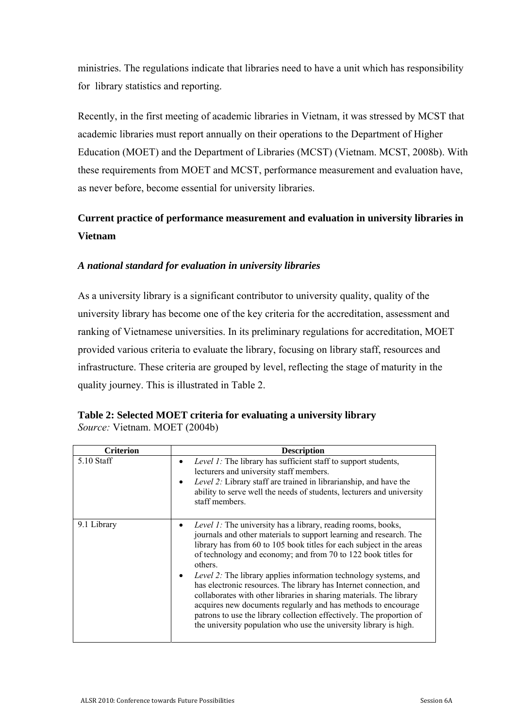ministries. The regulations indicate that libraries need to have a unit which has responsibility for library statistics and reporting.

Recently, in the first meeting of academic libraries in Vietnam, it was stressed by MCST that academic libraries must report annually on their operations to the Department of Higher Education (MOET) and the Department of Libraries (MCST) (Vietnam. MCST, 2008b). With these requirements from MOET and MCST, performance measurement and evaluation have, as never before, become essential for university libraries.

# **Current practice of performance measurement and evaluation in university libraries in Vietnam**

## *A national standard for evaluation in university libraries*

As a university library is a significant contributor to university quality, quality of the university library has become one of the key criteria for the accreditation, assessment and ranking of Vietnamese universities. In its preliminary regulations for accreditation, MOET provided various criteria to evaluate the library, focusing on library staff, resources and infrastructure. These criteria are grouped by level, reflecting the stage of maturity in the quality journey. This is illustrated in Table 2.

| <b>Criterion</b> | <b>Description</b>                                                                                                                                                                                                                                                                                                                                                                                                                                                                                                                                                                                                                                                                                                                      |
|------------------|-----------------------------------------------------------------------------------------------------------------------------------------------------------------------------------------------------------------------------------------------------------------------------------------------------------------------------------------------------------------------------------------------------------------------------------------------------------------------------------------------------------------------------------------------------------------------------------------------------------------------------------------------------------------------------------------------------------------------------------------|
| $5.10$ Staff     | <i>Level 1:</i> The library has sufficient staff to support students,<br>$\bullet$<br>lecturers and university staff members.<br>Level 2: Library staff are trained in librarianship, and have the<br>$\bullet$<br>ability to serve well the needs of students, lecturers and university<br>staff members.                                                                                                                                                                                                                                                                                                                                                                                                                              |
| 9.1 Library      | Level 1: The university has a library, reading rooms, books,<br>٠<br>journals and other materials to support learning and research. The<br>library has from 60 to 105 book titles for each subject in the areas<br>of technology and economy; and from 70 to 122 book titles for<br>others.<br>Level 2: The library applies information technology systems, and<br>$\bullet$<br>has electronic resources. The library has Internet connection, and<br>collaborates with other libraries in sharing materials. The library<br>acquires new documents regularly and has methods to encourage<br>patrons to use the library collection effectively. The proportion of<br>the university population who use the university library is high. |

| Table 2: Selected MOET criteria for evaluating a university library |  |  |  |
|---------------------------------------------------------------------|--|--|--|
| <i>Source:</i> Vietnam. MOET (2004b)                                |  |  |  |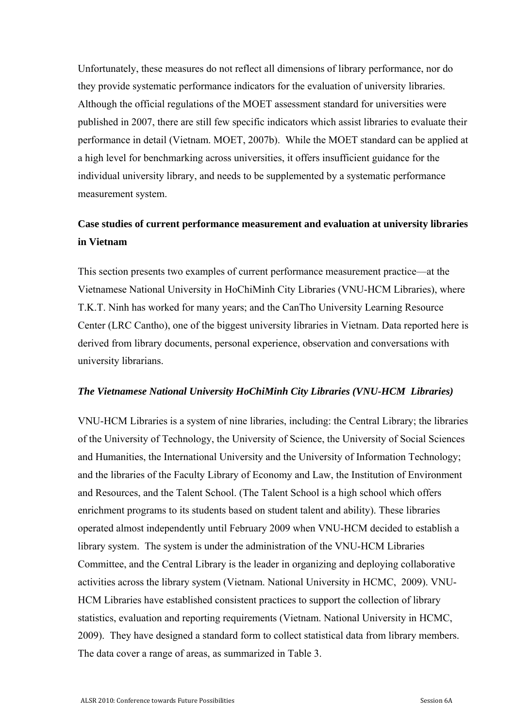Unfortunately, these measures do not reflect all dimensions of library performance, nor do they provide systematic performance indicators for the evaluation of university libraries. Although the official regulations of the MOET assessment standard for universities were published in 2007, there are still few specific indicators which assist libraries to evaluate their performance in detail (Vietnam. MOET, 2007b). While the MOET standard can be applied at a high level for benchmarking across universities, it offers insufficient guidance for the individual university library, and needs to be supplemented by a systematic performance measurement system.

# **Case studies of current performance measurement and evaluation at university libraries in Vietnam**

This section presents two examples of current performance measurement practice—at the Vietnamese National University in HoChiMinh City Libraries (VNU-HCM Libraries), where T.K.T. Ninh has worked for many years; and the CanTho University Learning Resource Center (LRC Cantho), one of the biggest university libraries in Vietnam. Data reported here is derived from library documents, personal experience, observation and conversations with university librarians.

#### *The Vietnamese National University HoChiMinh City Libraries (VNU-HCM Libraries)*

VNU-HCM Libraries is a system of nine libraries, including: the Central Library; the libraries of the University of Technology, the University of Science, the University of Social Sciences and Humanities, the International University and the University of Information Technology; and the libraries of the Faculty Library of Economy and Law, the Institution of Environment and Resources, and the Talent School. (The Talent School is a high school which offers enrichment programs to its students based on student talent and ability). These libraries operated almost independently until February 2009 when VNU-HCM decided to establish a library system. The system is under the administration of the VNU-HCM Libraries Committee, and the Central Library is the leader in organizing and deploying collaborative activities across the library system (Vietnam. National University in HCMC, 2009). VNU-HCM Libraries have established consistent practices to support the collection of library statistics, evaluation and reporting requirements (Vietnam. National University in HCMC, 2009). They have designed a standard form to collect statistical data from library members. The data cover a range of areas, as summarized in Table 3.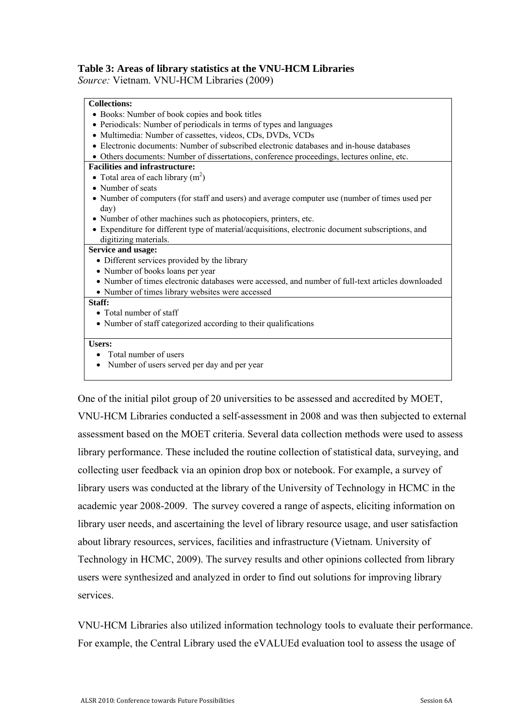## **Table 3: Areas of library statistics at the VNU-HCM Libraries**

*Source:* Vietnam. VNU-HCM Libraries (2009)

#### **Collections:**

- Books: Number of book copies and book titles
- Periodicals: Number of periodicals in terms of types and languages
- Multimedia: Number of cassettes, videos, CDs, DVDs, VCDs
- Electronic documents: Number of subscribed electronic databases and in-house databases
- Others documents: Number of dissertations, conference proceedings, lectures online, etc.

#### **Facilities and infrastructure:**

- Total area of each library  $(m^2)$
- Number of seats
- Number of computers (for staff and users) and average computer use (number of times used per day)
- Number of other machines such as photocopiers, printers, etc.
- Expenditure for different type of material/acquisitions, electronic document subscriptions, and digitizing materials.

#### **Service and usage:**

- Different services provided by the library
- Number of books loans per year
- Number of times electronic databases were accessed, and number of full-text articles downloaded
- Number of times library websites were accessed

**Staff:** 

- Total number of staff
- Number of staff categorized according to their qualifications

#### **Users:**

- Total number of users
- Number of users served per day and per year

One of the initial pilot group of 20 universities to be assessed and accredited by MOET,

VNU-HCM Libraries conducted a self-assessment in 2008 and was then subjected to external assessment based on the MOET criteria. Several data collection methods were used to assess library performance. These included the routine collection of statistical data, surveying, and collecting user feedback via an opinion drop box or notebook. For example, a survey of library users was conducted at the library of the University of Technology in HCMC in the academic year 2008-2009. The survey covered a range of aspects, eliciting information on library user needs, and ascertaining the level of library resource usage, and user satisfaction about library resources, services, facilities and infrastructure (Vietnam. University of Technology in HCMC, 2009). The survey results and other opinions collected from library users were synthesized and analyzed in order to find out solutions for improving library services.

VNU-HCM Libraries also utilized information technology tools to evaluate their performance. For example, the Central Library used the eVALUEd evaluation tool to assess the usage of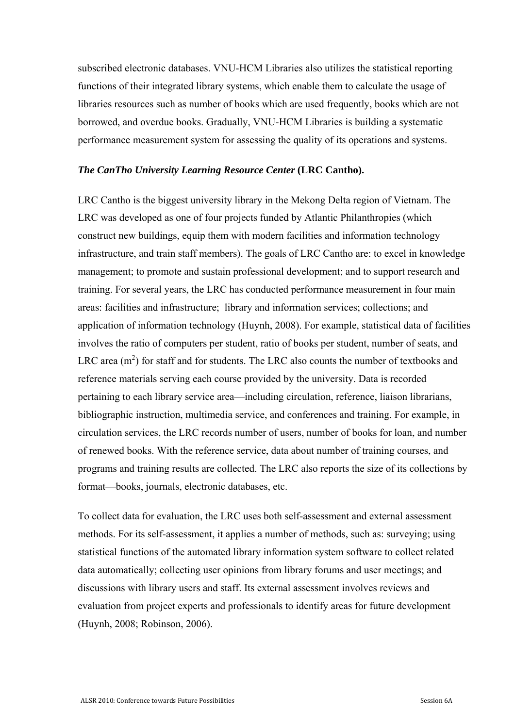subscribed electronic databases. VNU-HCM Libraries also utilizes the statistical reporting functions of their integrated library systems, which enable them to calculate the usage of libraries resources such as number of books which are used frequently, books which are not borrowed, and overdue books. Gradually, VNU-HCM Libraries is building a systematic performance measurement system for assessing the quality of its operations and systems.

#### *The CanTho University Learning Resource Center* **(LRC Cantho).**

LRC Cantho is the biggest university library in the Mekong Delta region of Vietnam. The LRC was developed as one of four projects funded by Atlantic Philanthropies (which construct new buildings, equip them with modern facilities and information technology infrastructure, and train staff members). The goals of LRC Cantho are: to excel in knowledge management; to promote and sustain professional development; and to support research and training. For several years, the LRC has conducted performance measurement in four main areas: facilities and infrastructure; library and information services; collections; and application of information technology (Huynh, 2008). For example, statistical data of facilities involves the ratio of computers per student, ratio of books per student, number of seats, and LRC area  $(m<sup>2</sup>)$  for staff and for students. The LRC also counts the number of textbooks and reference materials serving each course provided by the university. Data is recorded pertaining to each library service area—including circulation, reference, liaison librarians, bibliographic instruction, multimedia service, and conferences and training. For example, in circulation services, the LRC records number of users, number of books for loan, and number of renewed books. With the reference service, data about number of training courses, and programs and training results are collected. The LRC also reports the size of its collections by format—books, journals, electronic databases, etc.

To collect data for evaluation, the LRC uses both self-assessment and external assessment methods. For its self-assessment, it applies a number of methods, such as: surveying; using statistical functions of the automated library information system software to collect related data automatically; collecting user opinions from library forums and user meetings; and discussions with library users and staff. Its external assessment involves reviews and evaluation from project experts and professionals to identify areas for future development (Huynh, 2008; Robinson, 2006).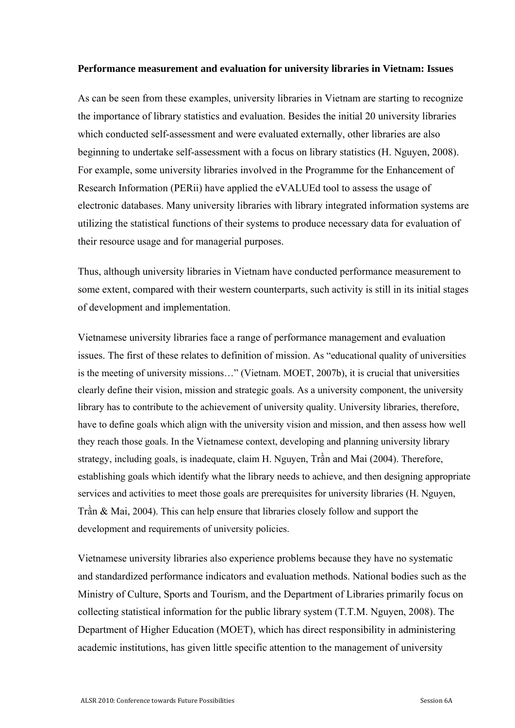#### **Performance measurement and evaluation for university libraries in Vietnam: Issues**

As can be seen from these examples, university libraries in Vietnam are starting to recognize the importance of library statistics and evaluation. Besides the initial 20 university libraries which conducted self-assessment and were evaluated externally, other libraries are also beginning to undertake self-assessment with a focus on library statistics (H. Nguyen, 2008). For example, some university libraries involved in the Programme for the Enhancement of Research Information (PERii) have applied the eVALUEd tool to assess the usage of electronic databases. Many university libraries with library integrated information systems are utilizing the statistical functions of their systems to produce necessary data for evaluation of their resource usage and for managerial purposes.

Thus, although university libraries in Vietnam have conducted performance measurement to some extent, compared with their western counterparts, such activity is still in its initial stages of development and implementation.

Vietnamese university libraries face a range of performance management and evaluation issues. The first of these relates to definition of mission. As "educational quality of universities is the meeting of university missions…" (Vietnam. MOET, 2007b), it is crucial that universities clearly define their vision, mission and strategic goals. As a university component, the university library has to contribute to the achievement of university quality. University libraries, therefore, have to define goals which align with the university vision and mission, and then assess how well they reach those goals. In the Vietnamese context, developing and planning university library strategy, including goals, is inadequate, claim H. Nguyen, Trần and Mai (2004). Therefore, establishing goals which identify what the library needs to achieve, and then designing appropriate services and activities to meet those goals are prerequisites for university libraries (H. Nguyen, Trần & Mai, 2004). This can help ensure that libraries closely follow and support the development and requirements of university policies.

Vietnamese university libraries also experience problems because they have no systematic and standardized performance indicators and evaluation methods. National bodies such as the Ministry of Culture, Sports and Tourism, and the Department of Libraries primarily focus on collecting statistical information for the public library system (T.T.M. Nguyen, 2008). The Department of Higher Education (MOET), which has direct responsibility in administering academic institutions, has given little specific attention to the management of university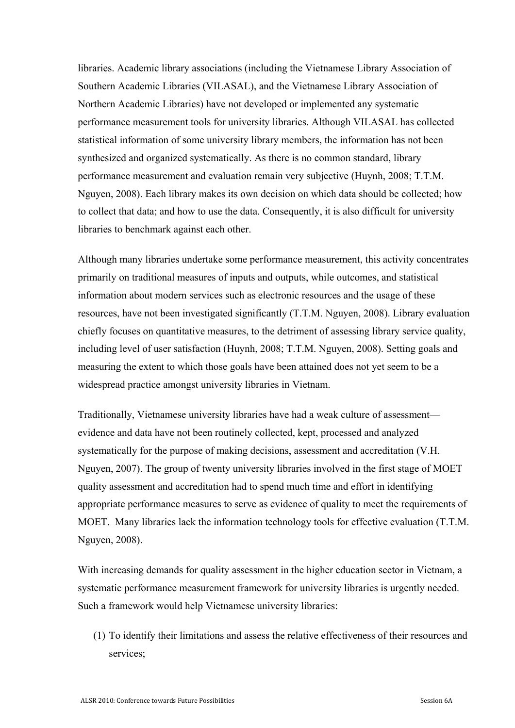libraries. Academic library associations (including the Vietnamese Library Association of Southern Academic Libraries (VILASAL), and the Vietnamese Library Association of Northern Academic Libraries) have not developed or implemented any systematic performance measurement tools for university libraries. Although VILASAL has collected statistical information of some university library members, the information has not been synthesized and organized systematically. As there is no common standard, library performance measurement and evaluation remain very subjective (Huynh, 2008; T.T.M. Nguyen, 2008). Each library makes its own decision on which data should be collected; how to collect that data; and how to use the data. Consequently, it is also difficult for university libraries to benchmark against each other.

Although many libraries undertake some performance measurement, this activity concentrates primarily on traditional measures of inputs and outputs, while outcomes, and statistical information about modern services such as electronic resources and the usage of these resources, have not been investigated significantly (T.T.M. Nguyen, 2008). Library evaluation chiefly focuses on quantitative measures, to the detriment of assessing library service quality, including level of user satisfaction (Huynh, 2008; T.T.M. Nguyen, 2008). Setting goals and measuring the extent to which those goals have been attained does not yet seem to be a widespread practice amongst university libraries in Vietnam.

Traditionally, Vietnamese university libraries have had a weak culture of assessment evidence and data have not been routinely collected, kept, processed and analyzed systematically for the purpose of making decisions, assessment and accreditation (V.H. Nguyen, 2007). The group of twenty university libraries involved in the first stage of MOET quality assessment and accreditation had to spend much time and effort in identifying appropriate performance measures to serve as evidence of quality to meet the requirements of MOET. Many libraries lack the information technology tools for effective evaluation (T.T.M. Nguyen, 2008).

With increasing demands for quality assessment in the higher education sector in Vietnam, a systematic performance measurement framework for university libraries is urgently needed. Such a framework would help Vietnamese university libraries:

(1) To identify their limitations and assess the relative effectiveness of their resources and services;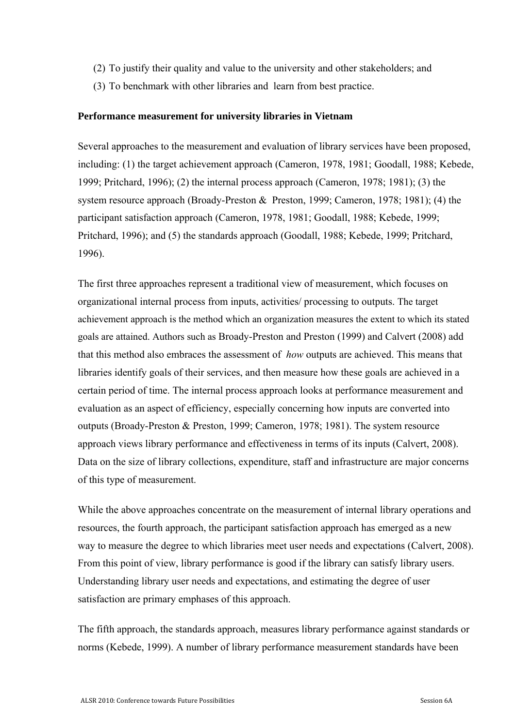- (2) To justify their quality and value to the university and other stakeholders; and
- (3) To benchmark with other libraries and learn from best practice.

#### **Performance measurement for university libraries in Vietnam**

Several approaches to the measurement and evaluation of library services have been proposed, including: (1) the target achievement approach (Cameron, 1978, 1981; Goodall, 1988; Kebede, 1999; Pritchard, 1996); (2) the internal process approach (Cameron, 1978; 1981); (3) the system resource approach (Broady-Preston & Preston, 1999; Cameron, 1978; 1981); (4) the participant satisfaction approach (Cameron, 1978, 1981; Goodall, 1988; Kebede, 1999; Pritchard, 1996); and (5) the standards approach (Goodall, 1988; Kebede, 1999; Pritchard, 1996).

The first three approaches represent a traditional view of measurement, which focuses on organizational internal process from inputs, activities/ processing to outputs. The target achievement approach is the method which an organization measures the extent to which its stated goals are attained. Authors such as Broady-Preston and Preston (1999) and Calvert (2008) add that this method also embraces the assessment of *how* outputs are achieved. This means that libraries identify goals of their services, and then measure how these goals are achieved in a certain period of time. The internal process approach looks at performance measurement and evaluation as an aspect of efficiency, especially concerning how inputs are converted into outputs (Broady-Preston & Preston, 1999; Cameron, 1978; 1981). The system resource approach views library performance and effectiveness in terms of its inputs (Calvert, 2008). Data on the size of library collections, expenditure, staff and infrastructure are major concerns of this type of measurement.

While the above approaches concentrate on the measurement of internal library operations and resources, the fourth approach, the participant satisfaction approach has emerged as a new way to measure the degree to which libraries meet user needs and expectations (Calvert, 2008). From this point of view, library performance is good if the library can satisfy library users. Understanding library user needs and expectations, and estimating the degree of user satisfaction are primary emphases of this approach.

The fifth approach, the standards approach, measures library performance against standards or norms (Kebede, 1999). A number of library performance measurement standards have been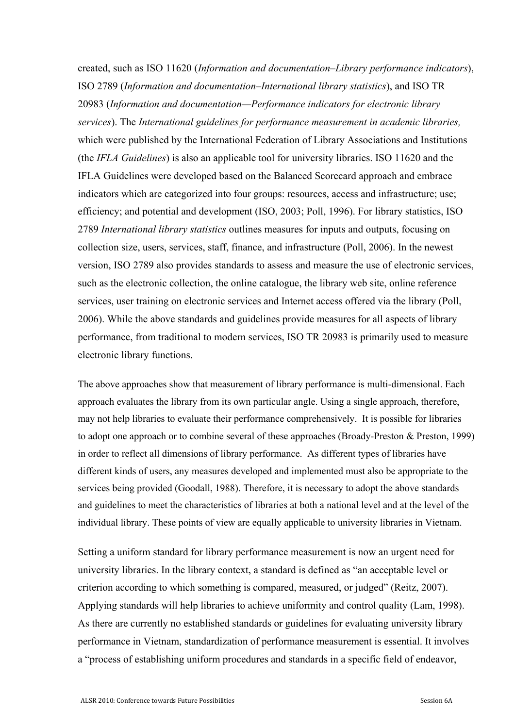created, such as ISO 11620 (*Information and documentation–Library performance indicators*), ISO 2789 (*Information and documentation–International library statistics*), and ISO TR 20983 (*Information and documentation—Performance indicators for electronic library services*). The *International guidelines for performance measurement in academic libraries,* which were published by the International Federation of Library Associations and Institutions (the *IFLA Guidelines*) is also an applicable tool for university libraries. ISO 11620 and the IFLA Guidelines were developed based on the Balanced Scorecard approach and embrace indicators which are categorized into four groups: resources, access and infrastructure; use; efficiency; and potential and development (ISO, 2003; Poll, 1996). For library statistics, ISO 2789 *International library statistics* outlines measures for inputs and outputs, focusing on collection size, users, services, staff, finance, and infrastructure (Poll, 2006). In the newest version, ISO 2789 also provides standards to assess and measure the use of electronic services, such as the electronic collection, the online catalogue, the library web site, online reference services, user training on electronic services and Internet access offered via the library (Poll, 2006). While the above standards and guidelines provide measures for all aspects of library performance, from traditional to modern services, ISO TR 20983 is primarily used to measure electronic library functions.

The above approaches show that measurement of library performance is multi-dimensional. Each approach evaluates the library from its own particular angle. Using a single approach, therefore, may not help libraries to evaluate their performance comprehensively. It is possible for libraries to adopt one approach or to combine several of these approaches (Broady-Preston & Preston, 1999) in order to reflect all dimensions of library performance. As different types of libraries have different kinds of users, any measures developed and implemented must also be appropriate to the services being provided (Goodall, 1988). Therefore, it is necessary to adopt the above standards and guidelines to meet the characteristics of libraries at both a national level and at the level of the individual library. These points of view are equally applicable to university libraries in Vietnam.

Setting a uniform standard for library performance measurement is now an urgent need for university libraries. In the library context, a standard is defined as "an acceptable level or criterion according to which something is compared, measured, or judged" (Reitz, 2007). Applying standards will help libraries to achieve uniformity and control quality (Lam, 1998). As there are currently no established standards or guidelines for evaluating university library performance in Vietnam, standardization of performance measurement is essential. It involves a "process of establishing uniform procedures and standards in a specific field of endeavor,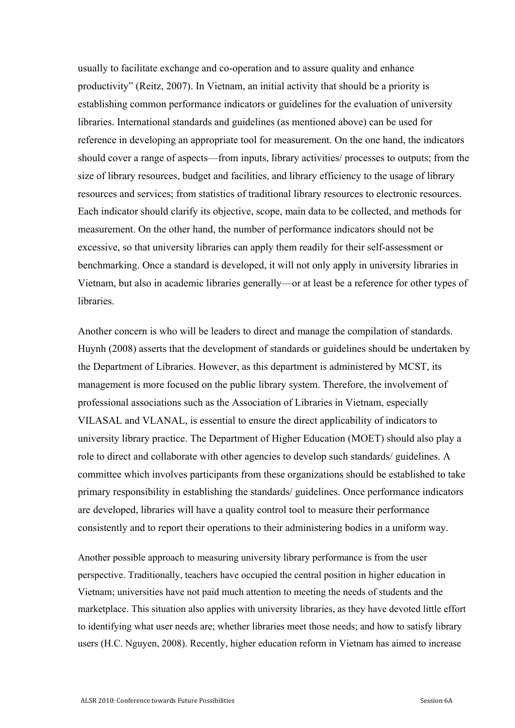usually to facilitate exchange and co-operation and to assure quality and enhance productivity" (Reitz, 2007). In Vietnam, an initial activity that should be a priority is establishing common performance indicators or guidelines for the evaluation of university libraries. International standards and guidelines (as mentioned above) can be used for reference in developing an appropriate tool for measurement. On the one hand, the indicators should cover a range of aspects—from inputs, library activities/ processes to outputs; from the size of library resources, budget and facilities, and library efficiency to the usage of library resources and services; from statistics of traditional library resources to electronic resources. Each indicator should clarify its objective, scope, main data to be collected, and methods for measurement. On the other hand, the number of performance indicators should not be excessive, so that university libraries can apply them readily for their self-assessment or benchmarking. Once a standard is developed, it will not only apply in university libraries in Vietnam, but also in academic libraries generally—or at least be a reference for other types of **libraries** 

Another concern is who will be leaders to direct and manage the compilation of standards. Huynh (2008) asserts that the development of standards or guidelines should be undertaken by the Department of Libraries. However, as this department is administered by MCST, its management is more focused on the public library system. Therefore, the involvement of professional associations such as the Association of Libraries in Vietnam, especially VILASAL and VLANAL, is essential to ensure the direct applicability of indicators to university library practice. The Department of Higher Education (MOET) should also play a role to direct and collaborate with other agencies to develop such standards/ guidelines. A committee which involves participants from these organizations should be established to take primary responsibility in establishing the standards/ guidelines. Once performance indicators are developed, libraries will have a quality control tool to measure their performance consistently and to report their operations to their administering bodies in a uniform way.

Another possible approach to measuring university library performance is from the user perspective. Traditionally, teachers have occupied the central position in higher education in Vietnam; universities have not paid much attention to meeting the needs of students and the marketplace. This situation also applies with university libraries, as they have devoted little effort to identifying what user needs are; whether libraries meet those needs; and how to satisfy library users (H.C. Nguyen, 2008). Recently, higher education reform in Vietnam has aimed to increase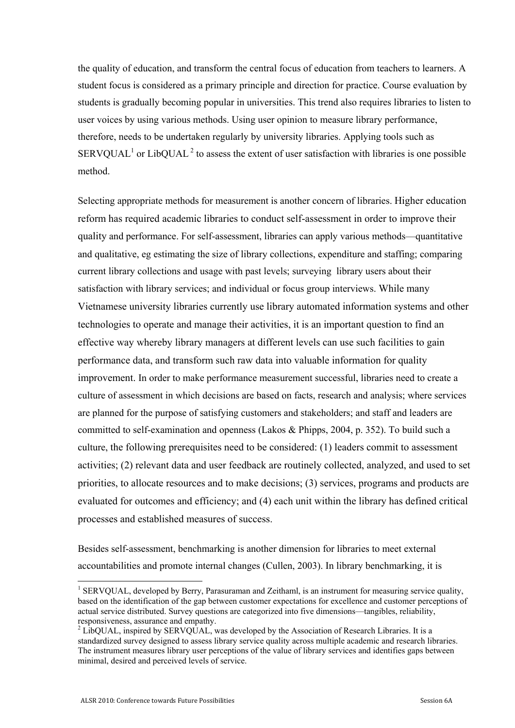the quality of education, and transform the central focus of education from teachers to learners. A student focus is considered as a primary principle and direction for practice. Course evaluation by students is gradually becoming popular in universities. This trend also requires libraries to listen to user voices by using various methods. Using user opinion to measure library performance, therefore, needs to be undertaken regularly by university libraries. Applying tools such as  $SERVQUAL<sup>1</sup>$  or LibQUAL<sup>2</sup> to assess the extent of user satisfaction with libraries is one possible method.

Selecting appropriate methods for measurement is another concern of libraries. Higher education reform has required academic libraries to conduct self-assessment in order to improve their quality and performance. For self-assessment, libraries can apply various methods—quantitative and qualitative, eg estimating the size of library collections, expenditure and staffing; comparing current library collections and usage with past levels; surveying library users about their satisfaction with library services; and individual or focus group interviews. While many Vietnamese university libraries currently use library automated information systems and other technologies to operate and manage their activities, it is an important question to find an effective way whereby library managers at different levels can use such facilities to gain performance data, and transform such raw data into valuable information for quality improvement. In order to make performance measurement successful, libraries need to create a culture of assessment in which decisions are based on facts, research and analysis; where services are planned for the purpose of satisfying customers and stakeholders; and staff and leaders are committed to self-examination and openness (Lakos & Phipps, 2004, p. 352). To build such a culture, the following prerequisites need to be considered: (1) leaders commit to assessment activities; (2) relevant data and user feedback are routinely collected, analyzed, and used to set priorities, to allocate resources and to make decisions; (3) services, programs and products are evaluated for outcomes and efficiency; and (4) each unit within the library has defined critical processes and established measures of success.

Besides self-assessment, benchmarking is another dimension for libraries to meet external accountabilities and promote internal changes (Cullen, 2003). In library benchmarking, it is

<u>.</u>

<sup>&</sup>lt;sup>1</sup> SERVQUAL, developed by Berry, Parasuraman and Zeithaml, is an instrument for measuring service quality, based on the identification of the gap between customer expectations for excellence and customer perceptions of actual service distributed. Survey questions are categorized into five dimensions—tangibles, reliability, responsiveness, assurance and empathy.

 $2 \text{ LibQUAL},$  inspired by SERVQUAL, was developed by the Association of Research Libraries. It is a standardized survey designed to assess library service quality across multiple academic and research libraries. The instrument measures library user perceptions of the value of library services and identifies gaps between minimal, desired and perceived levels of service.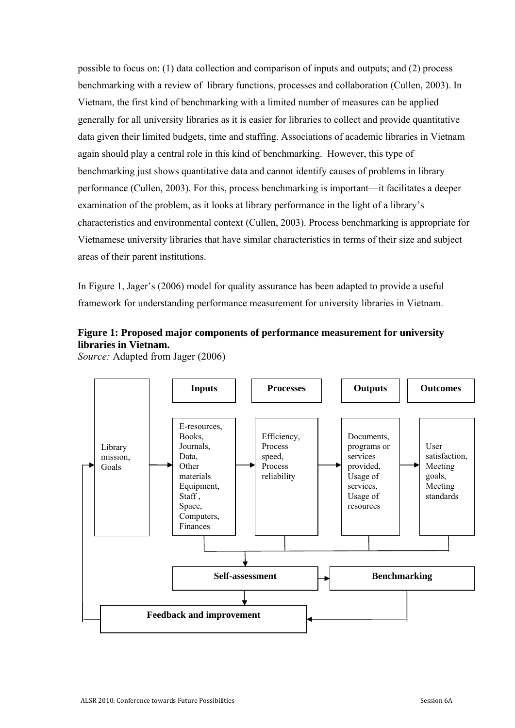possible to focus on: (1) data collection and comparison of inputs and outputs; and (2) process benchmarking with a review of library functions, processes and collaboration (Cullen, 2003). In Vietnam, the first kind of benchmarking with a limited number of measures can be applied generally for all university libraries as it is easier for libraries to collect and provide quantitative data given their limited budgets, time and staffing. Associations of academic libraries in Vietnam again should play a central role in this kind of benchmarking. However, this type of benchmarking just shows quantitative data and cannot identify causes of problems in library performance (Cullen, 2003). For this, process benchmarking is important—it facilitates a deeper examination of the problem, as it looks at library performance in the light of a library's characteristics and environmental context (Cullen, 2003). Process benchmarking is appropriate for Vietnamese university libraries that have similar characteristics in terms of their size and subject areas of their parent institutions.

In Figure 1, Jager's (2006) model for quality assurance has been adapted to provide a useful framework for understanding performance measurement for university libraries in Vietnam.

## **Figure 1: Proposed major components of performance measurement for university libraries in Vietnam.**



*Source:* Adapted from Jager (2006)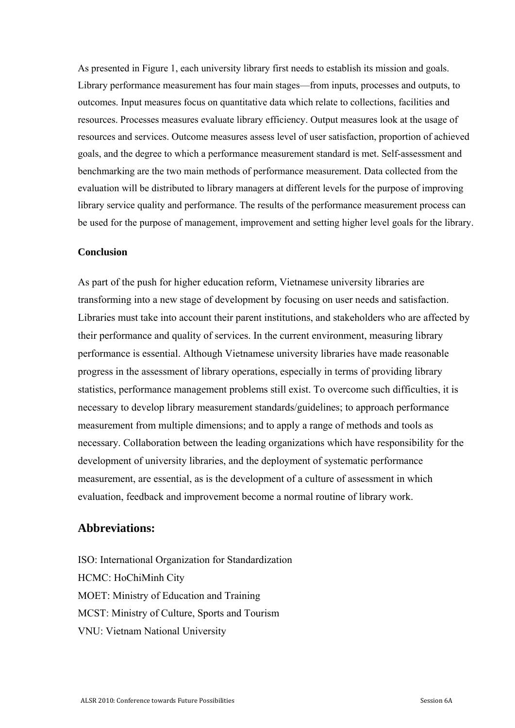As presented in Figure 1, each university library first needs to establish its mission and goals. Library performance measurement has four main stages—from inputs, processes and outputs, to outcomes. Input measures focus on quantitative data which relate to collections, facilities and resources. Processes measures evaluate library efficiency. Output measures look at the usage of resources and services. Outcome measures assess level of user satisfaction, proportion of achieved goals, and the degree to which a performance measurement standard is met. Self-assessment and benchmarking are the two main methods of performance measurement. Data collected from the evaluation will be distributed to library managers at different levels for the purpose of improving library service quality and performance. The results of the performance measurement process can be used for the purpose of management, improvement and setting higher level goals for the library.

#### **Conclusion**

As part of the push for higher education reform, Vietnamese university libraries are transforming into a new stage of development by focusing on user needs and satisfaction. Libraries must take into account their parent institutions, and stakeholders who are affected by their performance and quality of services. In the current environment, measuring library performance is essential. Although Vietnamese university libraries have made reasonable progress in the assessment of library operations, especially in terms of providing library statistics, performance management problems still exist. To overcome such difficulties, it is necessary to develop library measurement standards/guidelines; to approach performance measurement from multiple dimensions; and to apply a range of methods and tools as necessary. Collaboration between the leading organizations which have responsibility for the development of university libraries, and the deployment of systematic performance measurement, are essential, as is the development of a culture of assessment in which evaluation, feedback and improvement become a normal routine of library work.

## **Abbreviations:**

ISO: International Organization for Standardization HCMC: HoChiMinh City MOET: Ministry of Education and Training MCST: Ministry of Culture, Sports and Tourism VNU: Vietnam National University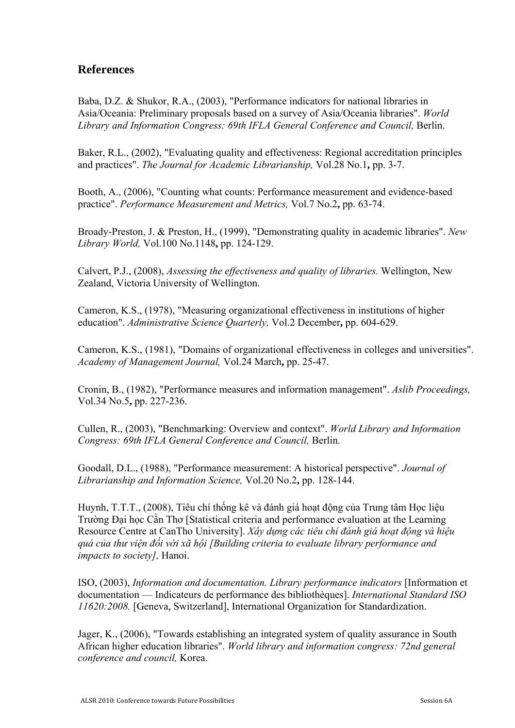## **References**

Baba, D.Z. & Shukor, R.A., (2003), "Performance indicators for national libraries in Asia/Oceania: Preliminary proposals based on a survey of Asia/Oceania libraries". *World Library and Information Congress: 69th IFLA General Conference and Council,* Berlin.

Baker, R.L., (2002), "Evaluating quality and effectiveness: Regional accreditation principles and practices". *The Journal for Academic Librarianship,* Vol.28 No.1**,** pp. 3-7.

Booth, A., (2006), "Counting what counts: Performance measurement and evidence-based practice". *Performance Measurement and Metrics,* Vol.7 No.2**,** pp. 63-74.

Broady-Preston, J. & Preston, H., (1999), "Demonstrating quality in academic libraries". *New Library World,* Vol.100 No.1148**,** pp. 124-129.

Calvert, P.J., (2008), *Assessing the effectiveness and quality of libraries.* Wellington, New Zealand, Victoria University of Wellington.

Cameron, K.S., (1978), "Measuring organizational effectiveness in institutions of higher education". *Administrative Science Quarterly,* Vol.2 December**,** pp. 604-629.

Cameron, K.S., (1981), "Domains of organizational effectiveness in colleges and universities". *Academy of Management Journal,* Vol.24 March**,** pp. 25-47.

Cronin, B., (1982), "Performance measures and information management". *Aslib Proceedings,* Vol.34 No.5**,** pp. 227-236.

Cullen, R., (2003), "Benchmarking: Overview and context". *World Library and Information Congress: 69th IFLA General Conference and Council,* Berlin.

Goodall, D.L., (1988), "Performance measurement: A historical perspective". *Journal of Librarianship and Information Science,* Vol.20 No.2**,** pp. 128-144.

Huynh, T.T.T., (2008), Tiêu chí thống kê và đánh giá hoạt động của Trung tâm Học liệu Trường Đại học Cần Thơ [Statistical criteria and performance evaluation at the Learning Resource Centre at CanTho University]. *Xây dựng các tiêu chí đánh giá hoạt động và hiệu quả của thư viện đối với xã hội [Building criteria to evaluate library performance and impacts to society],* Hanoi.

ISO, (2003), *Information and documentation. Library performance indicators* [Information et documentation — Indicateurs de performance des bibliothèques]. *International Standard ISO 11620:2008.* [Geneva, Switzerland], International Organization for Standardization.

Jager, K., (2006), "Towards establishing an integrated system of quality assurance in South African higher education libraries". *World library and information congress: 72nd general conference and council,* Korea.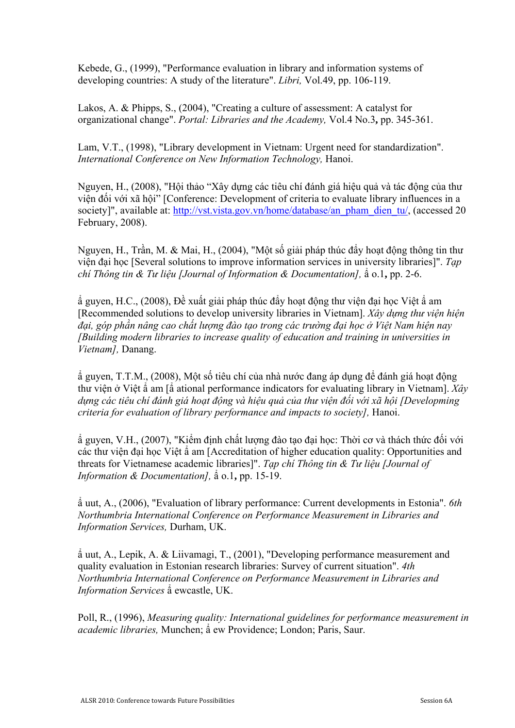Kebede, G., (1999), "Performance evaluation in library and information systems of developing countries: A study of the literature". *Libri,* Vol.49, pp. 106-119.

Lakos, A. & Phipps, S., (2004), "Creating a culture of assessment: A catalyst for organizational change". *Portal: Libraries and the Academy,* Vol.4 No.3**,** pp. 345-361.

Lam, V.T., (1998), "Library development in Vietnam: Urgent need for standardization". *International Conference on New Information Technology,* Hanoi.

Nguyen, H., (2008), "Hội thảo "Xây dựng các tiêu chí đánh giá hiệu quả và tác động của thư viện đối với xã hội" [Conference: Development of criteria to evaluate library influences in a society]", available at: http://vst.vista.gov.vn/home/database/an\_pham\_dien\_tu/, (accessed 20 February, 2008).

Nguyen, H., Trần, M. & Mai, H., (2004), "Một số giải pháp thúc đẩy hoạt động thông tin thư viện đại học [Several solutions to improve information services in university libraries]". *Tạp chí Thông tin & Tư liêu [Journal of Information & Documentation],*  $\hat{a}$  o.1, pp. 2-6.

 $\dot{\hat{a}}$  guyen, H.C., (2008), Đề xuất giải pháp thúc đẩy hoạt động thư viện đại học Việt  $\dot{\hat{a}}$  am [Recommended solutions to develop university libraries in Vietnam]. *Xây dựng thư viện hiện*  đại, góp phần nâng cao chất lượng đào tạo trong các trường đại học ở Việt Nam hiện nay *[Building modern libraries to increase quality of education and training in universities in Vietnam],* Danang.

 $\hat{\mathring{a}}$  guyen, T.T.M., (2008), Một số tiêu chí của nhà nước đang áp dụng để đánh giá hoạt động thư viện ở Việt  $\hat{a}$  am  $\hat{a}$  ational performance indicators for evaluating library in Vietnam]. *Xây* dưng các tiêu chí đánh giá hoat đông và hiệu quả của thư viên đối với xã hôi [Developming *criteria for evaluation of library performance and impacts to society],* Hanoi.

 $\hat{a}$  guyen, V.H., (2007), "Kiểm định chất lượng đào tạo đại học: Thời cơ và thách thức đối với các thư viện đại học Việt  $\hat{a}$  am [Accreditation of higher education quality: Opportunities and threats for Vietnamese academic libraries]". *Tạp chí Thông tin & Tư liệu [Journal of Information & Documentation]*,  $\hat{a}$  o.1, pp. 15-19.

 $\hat{a}$  uut, A., (2006), "Evaluation of library performance: Current developments in Estonia". *6th Northumbria International Conference on Performance Measurement in Libraries and Information Services,* Durham, UK.

 $\hat{\mathbf{a}}$  uut, A., Lepik, A. & Liivamagi, T., (2001), "Developing performance measurement and quality evaluation in Estonian research libraries: Survey of current situation". *4th Northumbria International Conference on Performance Measurement in Libraries and Information Services*  $\acute{a}$  ewcastle, UK.

Poll, R., (1996), *Measuring quality: International guidelines for performance measurement in academic libraries, Munchen;*  $\hat{a}$  *ew Providence; London; Paris, Saur.*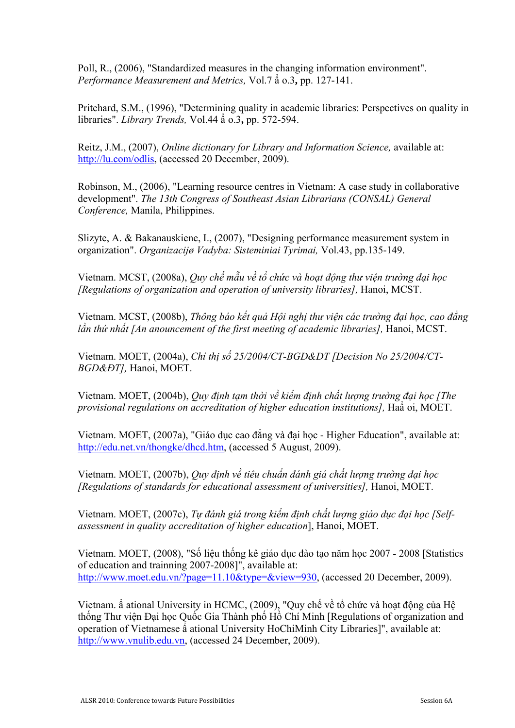Poll, R., (2006), "Standardized measures in the changing information environment". *Performance Measurement and Metrics, Vol.7*  $\hat{a}$  o.3, pp. 127-141.

Pritchard, S.M., (1996), "Determining quality in academic libraries: Perspectives on quality in libraries". *Library Trends*, Vol.44  $\hat{a}$  o.3, pp. 572-594.

Reitz, J.M., (2007), *Online dictionary for Library and Information Science,* available at: http://lu.com/odlis, (accessed 20 December, 2009).

Robinson, M., (2006), "Learning resource centres in Vietnam: A case study in collaborative development". *The 13th Congress of Southeast Asian Librarians (CONSAL) General Conference,* Manila, Philippines.

Slizyte, A. & Bakanauskiene, I., (2007), "Designing performance measurement system in organization". *Organizacijø Vadyba: Sisteminiai Tyrimai,* Vol.43, pp.135-149.

Vietnam. MCST, (2008a), Ouy chế mẫu về tổ chức và hoạt động thư viện trường đại học *[Regulations of organization and operation of university libraries],* Hanoi, MCST.

Vietnam, MCST, (2008b), Thông báo kết quả Hội nghị thư viên các trường đại học, cao đẳng *lần thứ nhất [An anouncement of the first meeting of academic libraries],* Hanoi, MCST.

Vietnam. MOET, (2004a), *Chỉ thị số 25/2004/CT-BGD&ĐT [Decision No 25/2004/CT-BGD&ĐT],* Hanoi, MOET.

Vietnam. MOET, (2004b), Ouy đinh tam thời về kiểm đinh chất lượng trường đại học [The *provisional regulations on accreditation of higher education institutions]*, Ha $\AA$  oi, MOET.

Vietnam. MOET, (2007a), "Giáo dục cao đẳng và đại học - Higher Education", available at: http://edu.net.vn/thongke/dhcd.htm, (accessed 5 August, 2009).

Vietnam. MOET, (2007b), *Quy định về tiêu chuẩn đánh giá chất lượng trường đại học [Regulations of standards for educational assessment of universities],* Hanoi, MOET.

Vietnam. MOET, (2007c), *Tự đánh giá trong kiểm định chất lượng giáo dục đại học [Selfassessment in quality accreditation of higher education*], Hanoi, MOET.

Vietnam. MOET, (2008), "Số liệu thống kê giáo dục đào tạo năm học 2007 - 2008 [Statistics of education and trainning 2007-2008]", available at: http://www.moet.edu.vn/?page=11.10&type=&view=930, (accessed 20 December, 2009).

Vietnam. ẩ ational University in HCMC, (2009), "Quy chế về tổ chức và hoạt động của Hệ thống Thư viện Đại học Quốc Gia Thành phố Hồ Chí Minh [Regulations of organization and operation of Vietnamese  $\dot{a}$  ational University HoChiMinh City Libraries]", available at: http://www.vnulib.edu.vn, (accessed 24 December, 2009).